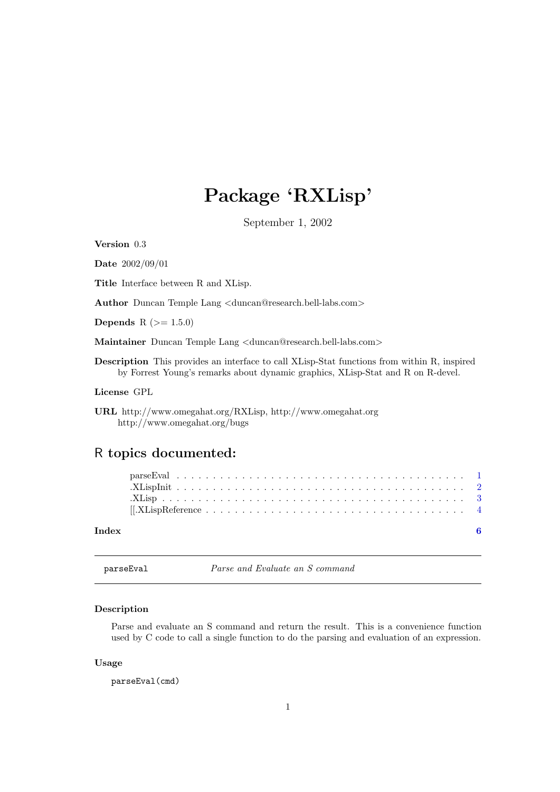## <span id="page-0-0"></span>Package 'RXLisp'

September 1, 2002

Version 0.3

Date 2002/09/01

Title Interface between R and XLisp.

Author Duncan Temple Lang <duncan@research.bell-labs.com>

Depends R  $(>= 1.5.0)$ 

Maintainer Duncan Temple Lang <duncan@research.bell-labs.com>

Description This provides an interface to call XLisp-Stat functions from within R, inspired by Forrest Young's remarks about dynamic graphics, XLisp-Stat and R on R-devel.

License GPL

### R topics documented:

| Index |  |  |  |  |  |  |  |  |  |  |  |  |  |  |  |  |
|-------|--|--|--|--|--|--|--|--|--|--|--|--|--|--|--|--|

parseEval Parse and Evaluate an S command

#### Description

Parse and evaluate an S command and return the result. This is a convenience function used by C code to call a single function to do the parsing and evaluation of an expression.

#### Usage

parseEval(cmd)

URL http://www.omegahat.org/RXLisp, http://www.omegahat.org http://www.omegahat.org/bugs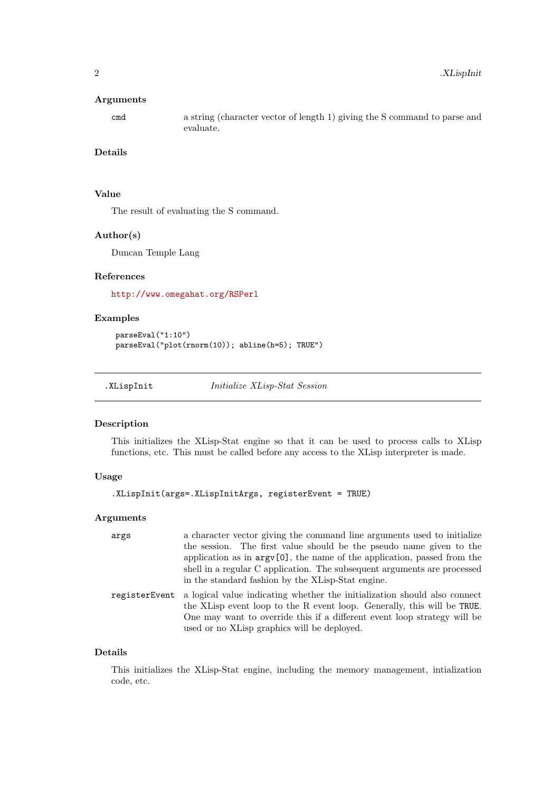#### <span id="page-1-0"></span>Arguments

cmd a string (character vector of length 1) giving the S command to parse and evaluate.

#### Details

#### Value

The result of evaluating the S command.

#### Author(s)

Duncan Temple Lang

#### References

<http://www.omegahat.org/RSPerl>

#### Examples

```
parseEval("1:10")
parseEval("plot(rnorm(10)); abline(h=5); TRUE")
```
<span id="page-1-1"></span>.XLispInit Initialize XLisp-Stat Session

#### Description

This initializes the XLisp-Stat engine so that it can be used to process calls to XLisp functions, etc. This must be called before any access to the XLisp interpreter is made.

#### Usage

```
.XLispInit(args=.XLispInitArgs, registerEvent = TRUE)
```
#### Arguments

| args          | a character vector giving the command line arguments used to initialize<br>the session. The first value should be the pseudo name given to the<br>application as in $argv[0]$ , the name of the application, passed from the<br>shell in a regular C application. The subsequent arguments are processed<br>in the standard fashion by the XLisp-Stat engine. |
|---------------|---------------------------------------------------------------------------------------------------------------------------------------------------------------------------------------------------------------------------------------------------------------------------------------------------------------------------------------------------------------|
| registerEvent | a logical value indicating whether the initialization should also connect<br>the XLisp event loop to the R event loop. Generally, this will be TRUE.<br>One may want to override this if a different event loop strategy will be<br>used or no XLisp graphics will be deployed.                                                                               |

#### Details

This initializes the XLisp-Stat engine, including the memory management, intialization code, etc.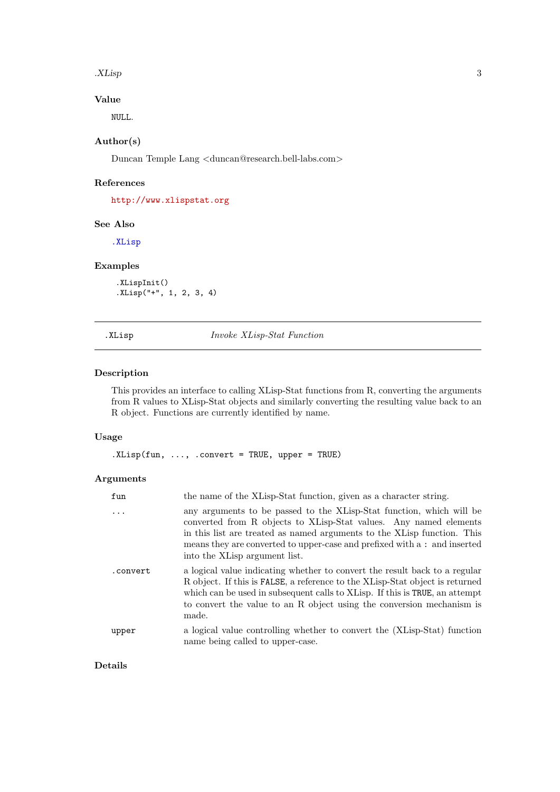<span id="page-2-0"></span>.XLisp 3

#### Value

NULL.

#### Author(s)

Duncan Temple Lang <duncan@research.bell-labs.com>

#### References

<http://www.xlispstat.org>

#### See Also

[.XLisp](#page-2-1)

#### Examples

.XLispInit() .XLisp("+", 1, 2, 3, 4)

<span id="page-2-1"></span>.XLisp Invoke XLisp-Stat Function

#### Description

This provides an interface to calling XLisp-Stat functions from R, converting the arguments from R values to XLisp-Stat objects and similarly converting the resulting value back to an R object. Functions are currently identified by name.

#### Usage

.XLisp(fun, ..., .convert = TRUE, upper = TRUE)

#### Arguments

| fun      | the name of the XLisp-Stat function, given as a character string.                                                                                                                                                                                                                                                                  |
|----------|------------------------------------------------------------------------------------------------------------------------------------------------------------------------------------------------------------------------------------------------------------------------------------------------------------------------------------|
| .        | any arguments to be passed to the XLisp-Stat function, which will be<br>converted from R objects to XLisp-Stat values. Any named elements<br>in this list are treated as named arguments to the XLisp function. This<br>means they are converted to upper-case and prefixed with a : and inserted<br>into the XLisp argument list. |
| .convert | a logical value indicating whether to convert the result back to a regular<br>R object. If this is FALSE, a reference to the XLisp-Stat object is returned<br>which can be used in subsequent calls to XLisp. If this is TRUE, an attempt<br>to convert the value to an R object using the conversion mechanism is<br>made.        |
| upper    | a logical value controlling whether to convert the (XLisp-Stat) function<br>name being called to upper-case.                                                                                                                                                                                                                       |

#### Details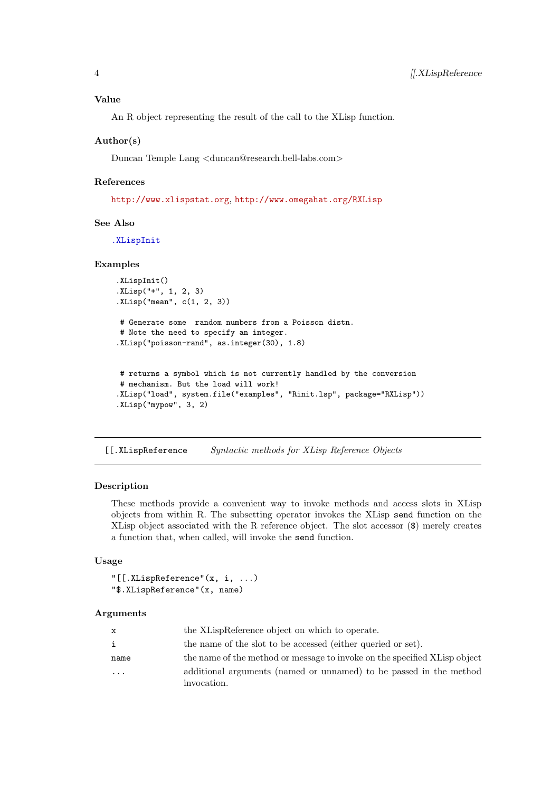<span id="page-3-0"></span>An R object representing the result of the call to the XLisp function.

#### Author(s)

Duncan Temple Lang <duncan@research.bell-labs.com>

#### References

<http://www.xlispstat.org>, <http://www.omegahat.org/RXLisp>

#### See Also

[.XLispInit](#page-1-1)

#### Examples

```
.XLispInit()
.XLisp("+", 1, 2, 3)
.XLisp("mean", c(1, 2, 3))
```

```
# Generate some random numbers from a Poisson distn.
# Note the need to specify an integer.
.XLisp("poisson-rand", as.integer(30), 1.8)
```

```
# returns a symbol which is not currently handled by the conversion
# mechanism. But the load will work!
.XLisp("load", system.file("examples", "Rinit.lsp", package="RXLisp"))
.XLisp("mypow", 3, 2)
```

```
[[.XLispReference Syntactic methods for XLisp Reference Objects
```
#### Description

These methods provide a convenient way to invoke methods and access slots in XLisp objects from within R. The subsetting operator invokes the XLisp send function on the XLisp object associated with the R reference object. The slot accessor (\$) merely creates a function that, when called, will invoke the send function.

#### Usage

```
"[[.XLispReference"(x, i, ...)
"$.XLispReference"(x, name)
```
#### Arguments

| x       | the XLispReference object on which to operate.                                    |
|---------|-----------------------------------------------------------------------------------|
| i       | the name of the slot to be accessed (either queried or set).                      |
| name    | the name of the method or message to invoke on the specified XLisp object         |
| $\cdot$ | additional arguments (named or unnamed) to be passed in the method<br>invocation. |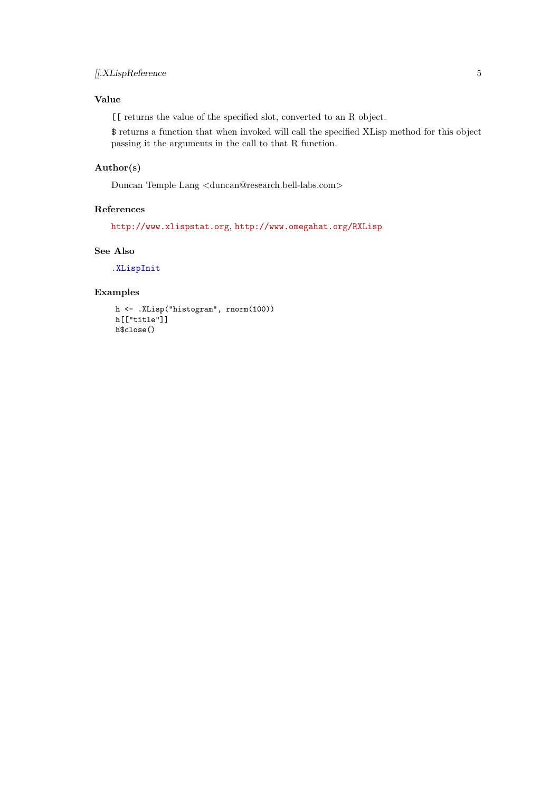#### Value

[[ returns the value of the specified slot, converted to an R object.

\$ returns a function that when invoked will call the specified XLisp method for this object passing it the arguments in the call to that R function.

#### Author(s)

Duncan Temple Lang <duncan@research.bell-labs.com>

#### References

<http://www.xlispstat.org>, <http://www.omegahat.org/RXLisp>

#### See Also

[.XLispInit](#page-1-1)

#### Examples

```
h <- .XLisp("histogram", rnorm(100))
h[["title"]]
h$close()
```